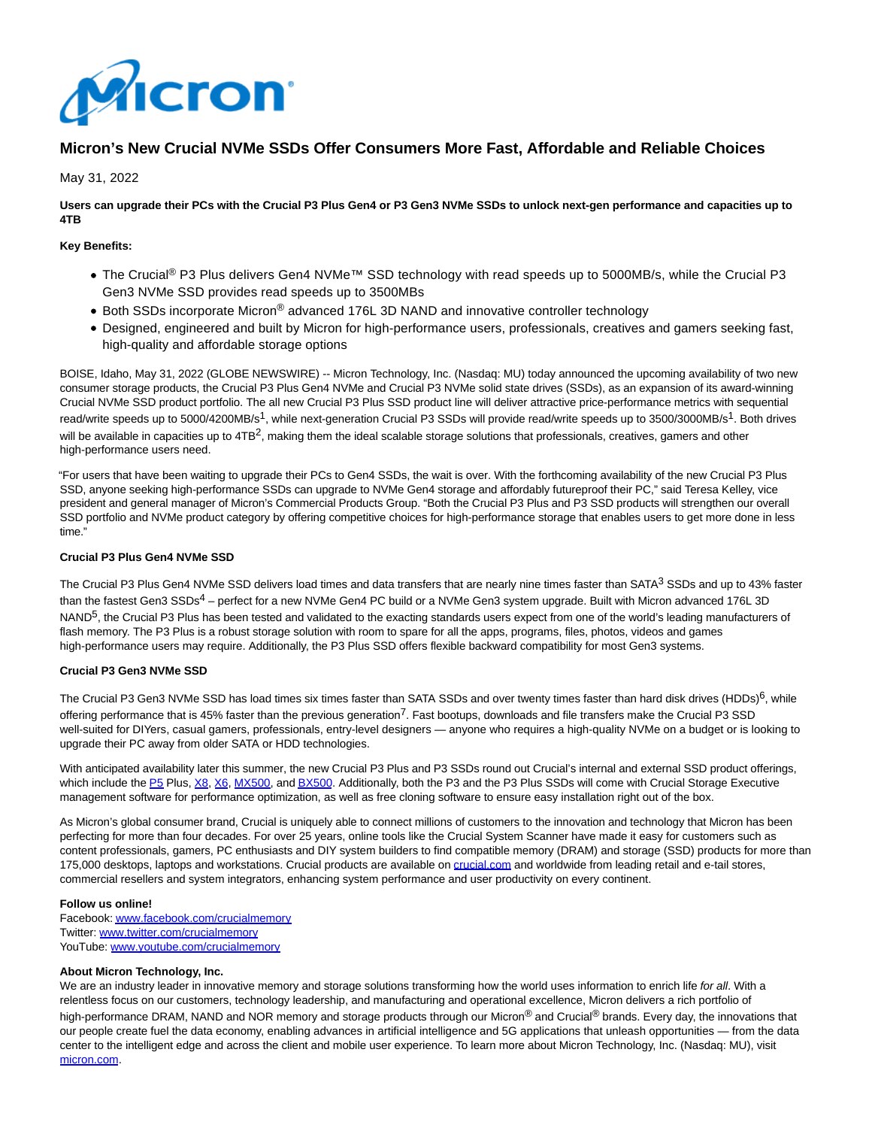

# **Micron's New Crucial NVMe SSDs Offer Consumers More Fast, Affordable and Reliable Choices**

May 31, 2022

**Users can upgrade their PCs with the Crucial P3 Plus Gen4 or P3 Gen3 NVMe SSDs to unlock next-gen performance and capacities up to 4TB**

# **Key Benefits:**

- The Crucial<sup>®</sup> P3 Plus delivers Gen4 NVMe<sup>™</sup> SSD technology with read speeds up to 5000MB/s, while the Crucial P3 Gen3 NVMe SSD provides read speeds up to 3500MBs
- Both SSDs incorporate Micron<sup>®</sup> advanced 176L 3D NAND and innovative controller technology
- Designed, engineered and built by Micron for high-performance users, professionals, creatives and gamers seeking fast, high-quality and affordable storage options

BOISE, Idaho, May 31, 2022 (GLOBE NEWSWIRE) -- Micron Technology, Inc. (Nasdaq: MU) today announced the upcoming availability of two new consumer storage products, the Crucial P3 Plus Gen4 NVMe and Crucial P3 NVMe solid state drives (SSDs), as an expansion of its award-winning Crucial NVMe SSD product portfolio. The all new Crucial P3 Plus SSD product line will deliver attractive price-performance metrics with sequential read/write speeds up to 5000/4200MB/s<sup>1</sup>, while next-generation Crucial P3 SSDs will provide read/write speeds up to 3500/3000MB/s<sup>1</sup>. Both drives will be available in capacities up to  $4TB^2$ , making them the ideal scalable storage solutions that professionals, creatives, gamers and other high-performance users need.

"For users that have been waiting to upgrade their PCs to Gen4 SSDs, the wait is over. With the forthcoming availability of the new Crucial P3 Plus SSD, anyone seeking high-performance SSDs can upgrade to NVMe Gen4 storage and affordably futureproof their PC," said Teresa Kelley, vice president and general manager of Micron's Commercial Products Group. "Both the Crucial P3 Plus and P3 SSD products will strengthen our overall SSD portfolio and NVMe product category by offering competitive choices for high-performance storage that enables users to get more done in less time."

# **Crucial P3 Plus Gen4 NVMe SSD**

The Crucial P3 Plus Gen4 NVMe SSD delivers load times and data transfers that are nearly nine times faster than SATA<sup>3</sup> SSDs and up to 43% faster than the fastest Gen3 SSDs<sup>4</sup> – perfect for a new NVMe Gen4 PC build or a NVMe Gen3 system upgrade. Built with Micron advanced 176L 3D NAND<sup>5</sup>, the Crucial P3 Plus has been tested and validated to the exacting standards users expect from one of the world's leading manufacturers of flash memory. The P3 Plus is a robust storage solution with room to spare for all the apps, programs, files, photos, videos and games high-performance users may require. Additionally, the P3 Plus SSD offers flexible backward compatibility for most Gen3 systems.

### **Crucial P3 Gen3 NVMe SSD**

The Crucial P3 Gen3 NVMe SSD has load times six times faster than SATA SSDs and over twenty times faster than hard disk drives (HDDs)<sup>6</sup>, while offering performance that is 45% faster than the previous generation<sup>7</sup>. Fast bootups, downloads and file transfers make the Crucial P3 SSD well-suited for DIYers, casual gamers, professionals, entry-level designers — anyone who requires a high-quality NVMe on a budget or is looking to upgrade their PC away from older SATA or HDD technologies.

With anticipated availability later this summer, the new Crucial P3 Plus and P3 SSDs round out Crucial's internal and external SSD product offerings, which include the [P5 P](https://www.globenewswire.com/Tracker?data=_9DYtg2VFlkFbO_W0C_YdUhrMAmu8928Hy32kblqHIDm3KULkJz7Z3atmj1KAxh3CtOr4G0y5guHlYtJaGMqdSh0aQ9x2BbtQX2VRTdo-C4=)lus[, X8,](https://www.globenewswire.com/Tracker?data=7URi2EQ2jTJyRxV-1Bv2OMRBh6Q7R7qTm-3j_b2OlXyUnddwrqFNmi9anDkxq6BF8ym7qpVKasuRFJSeRqh4jmzbXfm5gB5v2Hn6sXHV3v8=) [X6,](https://www.globenewswire.com/Tracker?data=lePCcNQLlO-chylfo8j7_gZcX_rUa9qrPOTaq4SHa4L3G2hj2Y5LzIJkpsVHTdxPS26FXF8h2lZNnnv_qozUPhukaee9Cj9jG37Rni9YPWU=) [MX500,](https://www.globenewswire.com/Tracker?data=2rlLaw2JRnZrcaEkfBX8tbkemDoEvMIp1xIMrZnc0WS9L8vFtKAV-4l4XaoP_znY82xVhp4eVChj5fzXVDW869MjQYRYsnOwhtPy6UpVRV9dSaOolLGZIVzoU3V48RnR) an[d BX500.](https://www.globenewswire.com/Tracker?data=CdqbL9pQ8WVTW4CDUWhRVrokTKtzIEZG6IeOQWRe8qjELnr0B3AtFcGtztt8UHf6fLNXM0JaXt81rauhMkDkp0LxCTAWx1F9-XrcKWn6HeA=) Additionally, both the P3 and the P3 Plus SSDs will come with Crucial Storage Executive management software for performance optimization, as well as free cloning software to ensure easy installation right out of the box.

As Micron's global consumer brand, Crucial is uniquely able to connect millions of customers to the innovation and technology that Micron has been perfecting for more than four decades. For over 25 years, online tools like the Crucial System Scanner have made it easy for customers such as content professionals, gamers, PC enthusiasts and DIY system builders to find compatible memory (DRAM) and storage (SSD) products for more than 175,000 desktops, laptops and workstations. Crucial products are available on [crucial.com a](https://www.globenewswire.com/Tracker?data=ZX7FQfewYPyShu-5cO93SFQulqwa-SjOGOYH8CMy83hnesQO4jIggYGHJxaBd_cYFsMcjf9_TGpX-Na67Za3JA==)nd worldwide from leading retail and e-tail stores, commercial resellers and system integrators, enhancing system performance and user productivity on every continent.

#### **Follow us online!**

Facebook[: www.facebook.com/crucialmemory](https://www.globenewswire.com/Tracker?data=kcZ3dcehgVsSII41CsEcbY-y82e5yjHULixPF-2tlh8lc_hzY_YzN__D0SCQkTA-1Z9JMYzhBaMZflGaX9dA__O1fgP95VDaJZ8EjYBDQbhU4rN9sdM2ZqxjlCYyRpsJ) Twitter: [www.twitter.com/crucialmemory](https://www.globenewswire.com/Tracker?data=ONZjU_9yxYnsPMJySZBVjZJzdG2UYdrLt-60Hx32FjUzAGB8hIFFQQrKMk5bDhzFHpCOIwmpcdreyiQDni_Vpi6gJhVRJ5Ua1umsFwBUsLY4iSMMyYi8KAGKPpbF1QPv) YouTube: [www.youtube.com/crucialmemory](https://www.globenewswire.com/Tracker?data=a0Eu-fOg8tbfX-YnFkB3uAkZvsW1vtM4RBG82m-FWQLT4a14i9cpIA53uSWaOwM2eA5T_Thp-UxQorgnYjg2KZTY6ebK5nDZwz-u4ApjP_nKdLYGLuU7-I2LU5n9gmXKFhNoo2VdivLqQbXTYEdN1w==)

### **About Micron Technology, Inc.**

We are an industry leader in innovative memory and storage solutions transforming how the world uses information to enrich life for all. With a relentless focus on our customers, technology leadership, and manufacturing and operational excellence, Micron delivers a rich portfolio of high-performance DRAM, NAND and NOR memory and storage products through our Micron® and Crucial® brands. Every day, the innovations that our people create fuel the data economy, enabling advances in artificial intelligence and 5G applications that unleash opportunities — from the data center to the intelligent edge and across the client and mobile user experience. To learn more about Micron Technology, Inc. (Nasdaq: MU), visit [micron.com.](https://www.globenewswire.com/Tracker?data=xf-A21YFqxYDwQqyA11hsP1bw4x5MAnZ82Uf6PN_CNc7qFkjQs6OHCWDhIwURD8zYBLAs1kXUmZcxcGH-8CYbg==)